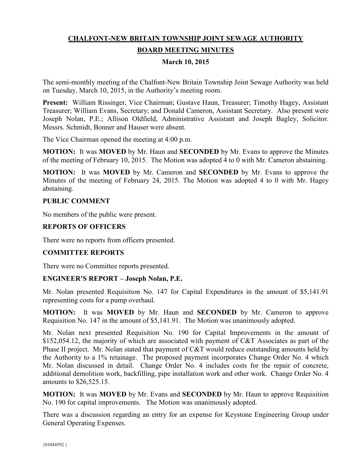# **CHALFONT-NEW BRITAIN TOWNSHIP JOINT SEWAGE AUTHORITY BOARD MEETING MINUTES**

### **March 10, 2015**

The semi-monthly meeting of the Chalfont-New Britain Township Joint Sewage Authority was held on Tuesday, March 10, 2015, in the Authority's meeting room.

**Present:** William Rissinger, Vice Chairman; Gustave Haun, Treasurer; Timothy Hagey, Assistant Treasurer; William Evans, Secretary; and Donald Cameron, Assistant Secretary. Also present were Joseph Nolan, P.E.; Allison Oldfield, Administrative Assistant and Joseph Bagley, Solicitor. Messrs. Schmidt, Bonner and Hauser were absent.

The Vice Chairman opened the meeting at 4:00 p.m.

**MOTION:** It was **MOVED** by Mr. Haun and **SECONDED** by Mr. Evans to approve the Minutes of the meeting of February 10, 2015. The Motion was adopted 4 to 0 with Mr. Cameron abstaining.

**MOTION:** It was **MOVED** by Mr. Cameron and **SECONDED** by Mr. Evans to approve the Minutes of the meeting of February 24, 2015. The Motion was adopted 4 to 0 with Mr. Hagey abstaining.

#### **PUBLIC COMMENT**

No members of the public were present.

#### **REPORTS OF OFFICERS**

There were no reports from officers presented.

#### **COMMITTEE REPORTS**

There were no Committee reports presented.

#### **ENGINEER'S REPORT – Joseph Nolan, P.E.**

Mr. Nolan presented Requisition No. 147 for Capital Expenditures in the amount of \$5,141.91 representing costs for a pump overhaul.

**MOTION:** It was **MOVED** by Mr. Haun and **SECONDED** by Mr. Cameron to approve Requisition No. 147 in the amount of \$5,141.91. The Motion was unanimously adopted.

Mr. Nolan next presented Requisition No. 190 for Capital Improvements in the amount of \$152,054.12, the majority of which are associated with payment of C&T Associates as part of the Phase II project. Mr. Nolan stated that payment of C&T would reduce outstanding amounts held by the Authority to a 1% retainage. The proposed payment incorporates Change Order No. 4 which Mr. Nolan discussed in detail. Change Order No. 4 includes costs for the repair of concrete, additional demolition work, backfilling, pipe installation work and other work. Change Order No. 4 amounts to \$26,525.15.

**MOTION:** It was **MOVED** by Mr. Evans and **SECONDED** by Mr. Haun to approve Requisition No. 190 for capital improvements. The Motion was unanimously adopted.

There was a discussion regarding an entry for an expense for Keystone Engineering Group under General Operating Expenses.